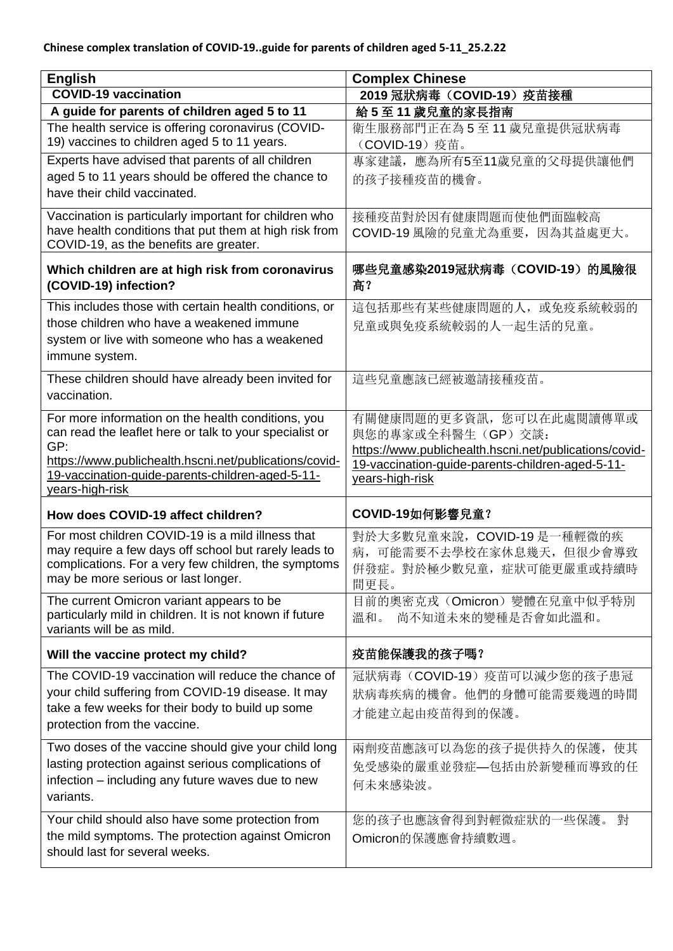| <b>English</b>                                                                                             | <b>Complex Chinese</b>                                 |
|------------------------------------------------------------------------------------------------------------|--------------------------------------------------------|
| <b>COVID-19 vaccination</b>                                                                                | 2019 冠狀病毒 (COVID-19) 疫苗接種                              |
| A guide for parents of children aged 5 to 11                                                               | 給5至11歲兒童的家長指南                                          |
| The health service is offering coronavirus (COVID-<br>19) vaccines to children aged 5 to 11 years.         | 衛生服務部門正在為5至11歲兒童提供冠狀病毒<br>(COVID-19) 疫苗。               |
| Experts have advised that parents of all children                                                          | 專家建議, 應為所有5至11歲兒童的父母提供讓他們                              |
| aged 5 to 11 years should be offered the chance to                                                         | 的孩子接種疫苗的機會。                                            |
| have their child vaccinated.                                                                               |                                                        |
| Vaccination is particularly important for children who                                                     | 接種疫苗對於因有健康問題而使他們面臨較高                                   |
| have health conditions that put them at high risk from                                                     | COVID-19 風險的兒童尤為重要, 因為其益處更大。                           |
| COVID-19, as the benefits are greater.                                                                     |                                                        |
| Which children are at high risk from coronavirus<br>(COVID-19) infection?                                  | 哪些兒童感染2019冠狀病毒(COVID-19)的風險很<br>高?                     |
| This includes those with certain health conditions, or                                                     | 這包括那些有某些健康問題的人, 或免疫系統較弱的                               |
| those children who have a weakened immune                                                                  | 兒童或與免疫系統較弱的人一起生活的兒童。                                   |
| system or live with someone who has a weakened                                                             |                                                        |
| immune system.                                                                                             |                                                        |
| These children should have already been invited for                                                        | 這些兒童應該已經被邀請接種疫苗。                                       |
| vaccination.                                                                                               |                                                        |
| For more information on the health conditions, you                                                         | 有關健康問題的更多資訊, 您可以在此處閱讀傳單或                               |
| can read the leaflet here or talk to your specialist or                                                    | 與您的專家或全科醫生(GP)交談:                                      |
| GP:                                                                                                        | https://www.publichealth.hscni.net/publications/covid- |
| https://www.publichealth.hscni.net/publications/covid-<br>19-vaccination-guide-parents-children-aged-5-11- | 19-vaccination-guide-parents-children-aged-5-11-       |
|                                                                                                            |                                                        |
|                                                                                                            | years-high-risk                                        |
| years-high-risk<br>How does COVID-19 affect children?                                                      | COVID-19如何影響兒童?                                        |
| For most children COVID-19 is a mild illness that                                                          | 對於大多數兒童來說, COVID-19是一種輕微的疾                             |
| may require a few days off school but rarely leads to                                                      | 病, 可能需要不去學校在家休息幾天, 但很少會導致                              |
| complications. For a very few children, the symptoms                                                       | 併發症。對於極少數兒童,症狀可能更嚴重或持續時                                |
| may be more serious or last longer.                                                                        | 間更長。                                                   |
| The current Omicron variant appears to be                                                                  | 目前的奧密克戎 (Omicron) 變體在兒童中似乎特別                           |
| particularly mild in children. It is not known if future<br>variants will be as mild.                      | 尚不知道未來的變種是否會如此溫和。<br>溫和。                               |
| Will the vaccine protect my child?                                                                         | 疫苗能保護我的孩子嗎?                                            |
| The COVID-19 vaccination will reduce the chance of                                                         | 冠狀病毒(COVID-19)疫苗可以減少您的孩子患冠                             |
| your child suffering from COVID-19 disease. It may                                                         | 狀病毒疾病的機會。他們的身體可能需要幾週的時間                                |
| take a few weeks for their body to build up some                                                           | 才能建立起由疫苗得到的保護。                                         |
| protection from the vaccine.                                                                               |                                                        |
| Two doses of the vaccine should give your child long                                                       | 兩劑疫苗應該可以為您的孩子提供持久的保護, 使其                               |
| lasting protection against serious complications of                                                        | 免受感染的嚴重並發症—包括由於新變種而導致的任                                |
| infection – including any future waves due to new                                                          | 何未來感染波。                                                |
| variants.                                                                                                  |                                                        |
| Your child should also have some protection from                                                           | 您的孩子也應該會得到對輕微症狀的一些保護。<br>對                             |
| the mild symptoms. The protection against Omicron                                                          | Omicron的保護應會持續數週。                                      |
| should last for several weeks.                                                                             |                                                        |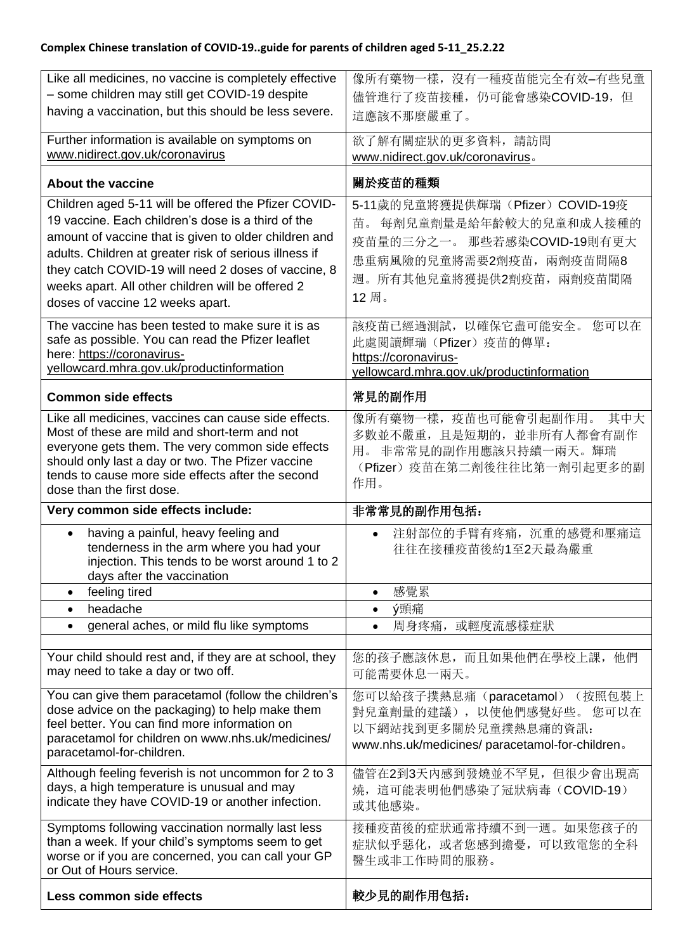## **Complex Chinese translation of COVID-19..guide for parents of children aged 5-11\_25.2.22**

| Like all medicines, no vaccine is completely effective<br>- some children may still get COVID-19 despite<br>having a vaccination, but this should be less severe.                                                                                                                                                                                                             | 像所有藥物一樣, 沒有一種疫苗能完全有效-有些兒童<br>儘管進行了疫苗接種, 仍可能會感染COVID-19, 但                                                                                                 |
|-------------------------------------------------------------------------------------------------------------------------------------------------------------------------------------------------------------------------------------------------------------------------------------------------------------------------------------------------------------------------------|-----------------------------------------------------------------------------------------------------------------------------------------------------------|
|                                                                                                                                                                                                                                                                                                                                                                               | 這應該不那麼嚴重了。                                                                                                                                                |
| Further information is available on symptoms on<br>www.nidirect.gov.uk/coronavirus                                                                                                                                                                                                                                                                                            | 欲了解有關症狀的更多資料,請訪問<br>www.nidirect.gov.uk/coronavirus.                                                                                                      |
| <b>About the vaccine</b>                                                                                                                                                                                                                                                                                                                                                      | 關於疫苗的種類                                                                                                                                                   |
| Children aged 5-11 will be offered the Pfizer COVID-<br>19 vaccine. Each children's dose is a third of the<br>amount of vaccine that is given to older children and<br>adults. Children at greater risk of serious illness if<br>they catch COVID-19 will need 2 doses of vaccine, 8<br>weeks apart. All other children will be offered 2<br>doses of vaccine 12 weeks apart. | 5-11歲的兒童將獲提供輝瑞(Pfizer) COVID-19疫<br>苗。每劑兒童劑量是給年齡較大的兒童和成人接種的<br>疫苗量的三分之一。 那些若感染COVID-19則有更大<br>患重病風險的兒童將需要2劑疫苗,兩劑疫苗間隔8<br>週。所有其他兒童將獲提供2劑疫苗, 兩劑疫苗間隔<br>12周。 |
| The vaccine has been tested to make sure it is as<br>safe as possible. You can read the Pfizer leaflet<br>here: https://coronavirus-<br>yellowcard.mhra.gov.uk/productinformation                                                                                                                                                                                             | 該疫苗已經過測試, 以確保它盡可能安全。 您可以在<br>此處閱讀輝瑞(Pfizer)疫苗的傳單:<br>https://coronavirus-<br>yellowcard.mhra.gov.uk/productinformation                                    |
| <b>Common side effects</b>                                                                                                                                                                                                                                                                                                                                                    | 常見的副作用                                                                                                                                                    |
| Like all medicines, vaccines can cause side effects.<br>Most of these are mild and short-term and not<br>everyone gets them. The very common side effects<br>should only last a day or two. The Pfizer vaccine<br>tends to cause more side effects after the second<br>dose than the first dose.                                                                              | 像所有藥物一樣, 疫苗也可能會引起副作用。 其中大<br>多數並不嚴重, 且是短期的, 並非所有人都會有副作<br>用。非常常見的副作用應該只持續一兩天。輝瑞<br>(Pfizer)疫苗在第二劑後往往比第一劑引起更多的副<br>作用。                                     |
| Very common side effects include:                                                                                                                                                                                                                                                                                                                                             | 非常常見的副作用包括:                                                                                                                                               |
| having a painful, heavy feeling and<br>$\bullet$<br>tenderness in the arm where you had your<br>injection. This tends to be worst around 1 to 2<br>days after the vaccination                                                                                                                                                                                                 | 注射部位的手臂有疼痛, 沉重的感覺和壓痛這<br>$\bullet$<br>往往在接種疫苗後約1至2天最為嚴重                                                                                                   |
| feeling tired                                                                                                                                                                                                                                                                                                                                                                 | 感覺累<br>$\bullet$                                                                                                                                          |
| headache<br>$\bullet$                                                                                                                                                                                                                                                                                                                                                         | ý頭痛<br>$\bullet$                                                                                                                                          |
| general aches, or mild flu like symptoms                                                                                                                                                                                                                                                                                                                                      | 或輕度流感樣症狀<br>周身疼痛,<br>$\bullet$                                                                                                                            |
| Your child should rest and, if they are at school, they<br>may need to take a day or two off.                                                                                                                                                                                                                                                                                 | 您的孩子應該休息,而且如果他們在學校上課,他們<br>可能需要休息一兩天。                                                                                                                     |
| You can give them paracetamol (follow the children's<br>dose advice on the packaging) to help make them<br>feel better. You can find more information on<br>paracetamol for children on www.nhs.uk/medicines/<br>paracetamol-for-children.                                                                                                                                    | 您可以給孩子撲熱息痛(paracetamol) (按照包裝上<br>對兒童劑量的建議),以使他們感覺好些。<br>您可以在<br>以下網站找到更多關於兒童撲熱息痛的資訊:<br>www.nhs.uk/medicines/ paracetamol-for-children.                  |
| Although feeling feverish is not uncommon for 2 to 3<br>days, a high temperature is unusual and may<br>indicate they have COVID-19 or another infection.                                                                                                                                                                                                                      | 儘管在2到3天內感到發燒並不罕見, 但很少會出現高<br>燒,這可能表明他們感染了冠狀病毒(COVID-19)<br>或其他感染。                                                                                         |
| Symptoms following vaccination normally last less<br>than a week. If your child's symptoms seem to get<br>worse or if you are concerned, you can call your GP<br>or Out of Hours service.                                                                                                                                                                                     | 接種疫苗後的症狀通常持續不到一週。如果您孩子的<br>症狀似乎惡化, 或者您感到擔憂, 可以致電您的全科<br>醫生或非工作時間的服務。                                                                                      |
|                                                                                                                                                                                                                                                                                                                                                                               |                                                                                                                                                           |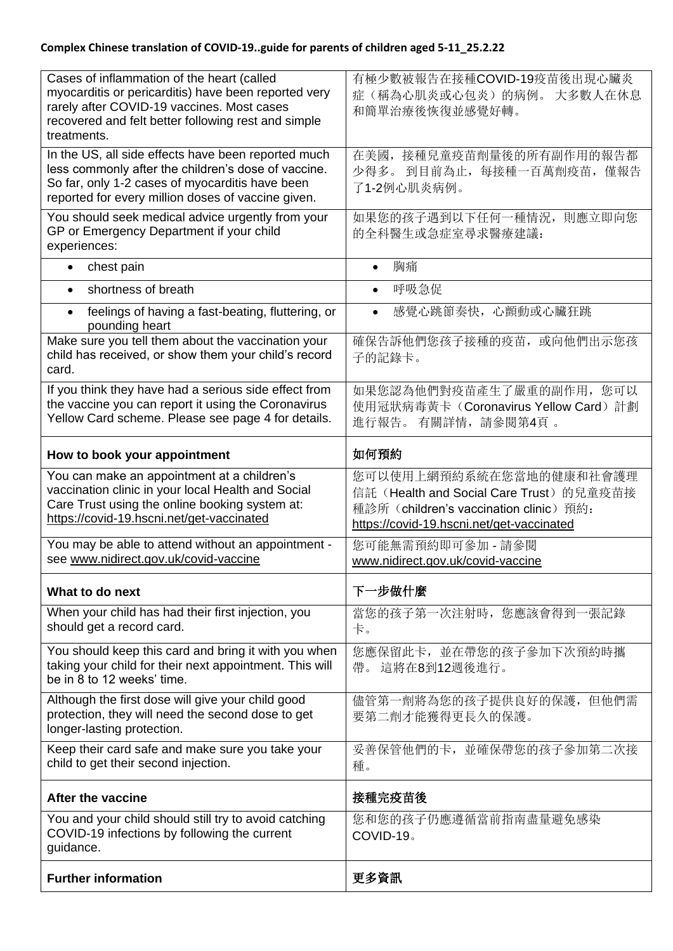| Cases of inflammation of the heart (called<br>myocarditis or pericarditis) have been reported very<br>rarely after COVID-19 vaccines. Most cases<br>recovered and felt better following rest and simple<br>treatments. | 有極少數被報告在接種COVID-19疫苗後出現心臟炎<br>症(稱為心肌炎或心包炎)的病例。大多數人在休息<br>和簡單治療後恢復並感覺好轉。                                                                                   |
|------------------------------------------------------------------------------------------------------------------------------------------------------------------------------------------------------------------------|-----------------------------------------------------------------------------------------------------------------------------------------------------------|
| In the US, all side effects have been reported much<br>less commonly after the children's dose of vaccine.<br>So far, only 1-2 cases of myocarditis have been<br>reported for every million doses of vaccine given.    | 在美國, 接種兒童疫苗劑量後的所有副作用的報告都<br>少得多。 到目前為止, 每接種一百萬劑疫苗, 僅報告<br>了1-2例心肌炎病例。                                                                                     |
| You should seek medical advice urgently from your<br>GP or Emergency Department if your child<br>experiences:                                                                                                          | 如果您的孩子遇到以下任何一種情況, 則應立即向您<br>的全科醫生或急症室尋求醫療建議:                                                                                                              |
| chest pain<br>$\bullet$                                                                                                                                                                                                | 胸痛                                                                                                                                                        |
| shortness of breath<br>$\bullet$                                                                                                                                                                                       | 呼吸急促                                                                                                                                                      |
| feelings of having a fast-beating, fluttering, or<br>$\bullet$<br>pounding heart                                                                                                                                       | 感覺心跳節奏快,心顫動或心臟狂跳                                                                                                                                          |
| Make sure you tell them about the vaccination your<br>child has received, or show them your child's record<br>card.                                                                                                    | 確保告訴他們您孩子接種的疫苗, 或向他們出示您孩<br>子的記錄卡。                                                                                                                        |
| If you think they have had a serious side effect from<br>the vaccine you can report it using the Coronavirus<br>Yellow Card scheme. Please see page 4 for details.                                                     | 如果您認為他們對疫苗產生了嚴重的副作用, 您可以<br>使用冠狀病毒黃卡 (Coronavirus Yellow Card) 計劃<br>進行報告。有關詳情,請參閱第4頁。                                                                    |
| How to book your appointment                                                                                                                                                                                           | 如何預約                                                                                                                                                      |
| You can make an appointment at a children's<br>vaccination clinic in your local Health and Social<br>Care Trust using the online booking system at:<br>https://covid-19.hscni.net/get-vaccinated                       | 您可以使用上網預約系統在您當地的健康和社會護理<br>信託(Health and Social Care Trust)的兒童疫苗接<br>種診所 (children's vaccination clinic) 預約:<br>https://covid-19.hscni.net/get-vaccinated |
| You may be able to attend without an appointment -<br>see www.nidirect.gov.uk/covid-vaccine                                                                                                                            | 您可能無需預約即可參加 - 請參閱<br>www.nidirect.gov.uk/covid-vaccine                                                                                                    |
| What to do next                                                                                                                                                                                                        | 下一步做什麼                                                                                                                                                    |
| When your child has had their first injection, you<br>should get a record card.                                                                                                                                        | 當您的孩子第一次注射時, 您應該會得到一張記錄<br>卡。                                                                                                                             |
| You should keep this card and bring it with you when<br>taking your child for their next appointment. This will<br>be in 8 to 12 weeks' time.                                                                          | 您應保留此卡, 並在帶您的孩子參加下次預約時攜<br>帶。這將在8到12週後進行。                                                                                                                 |
| Although the first dose will give your child good<br>protection, they will need the second dose to get<br>longer-lasting protection.                                                                                   | 儘管第一劑將為您的孩子提供良好的保護,但他們需<br>要第二劑才能獲得更長久的保護。                                                                                                                |
| Keep their card safe and make sure you take your<br>child to get their second injection.                                                                                                                               | 妥善保管他們的卡, 並確保帶您的孩子參加第二次接<br>種。                                                                                                                            |
| After the vaccine                                                                                                                                                                                                      | 接種完疫苗後                                                                                                                                                    |
| You and your child should still try to avoid catching<br>COVID-19 infections by following the current<br>guidance.                                                                                                     | 您和您的孩子仍應遵循當前指南盡量避免感染<br>COVID-19。                                                                                                                         |
|                                                                                                                                                                                                                        |                                                                                                                                                           |